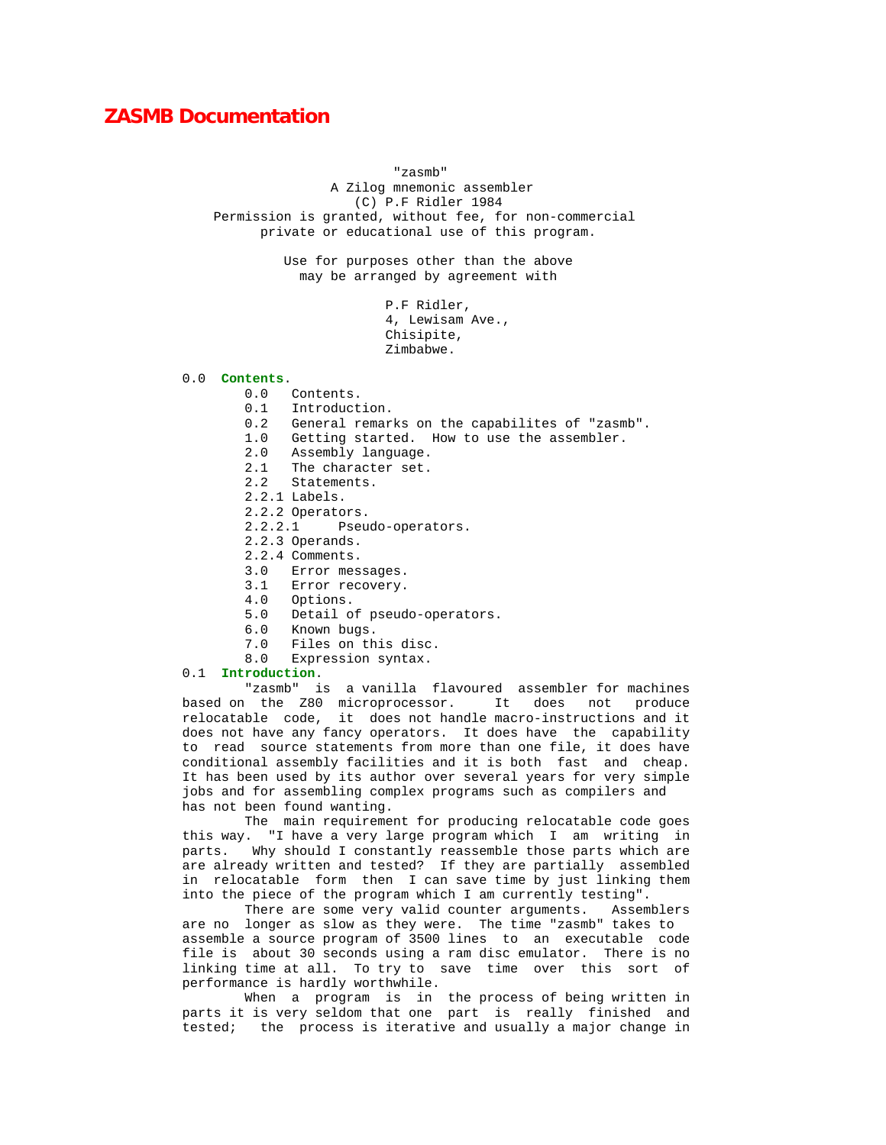## **ZASMB Documentation**

 "zasmb" A Zilog mnemonic assembler (C) P.F Ridler 1984 Permission is granted, without fee, for non-commercial private or educational use of this program.

> Use for purposes other than the above may be arranged by agreement with

> > P.F Ridler, 4, Lewisam Ave., Chisipite, Zimbabwe.

# 0.0 **Contents**.

- Contents.
- 0.1 Introduction.
- 0.2 General remarks on the capabilites of "zasmb".
- 1.0 Getting started. How to use the assembler.
- 2.0 Assembly language.
- 2.1 The character set.
- 2.2 Statements.
- 2.2.1 Labels.
- 
- 2.2.2 Operators.<br>2.2.2.1 Pseu Pseudo-operators.
- 2.2.3 Operands.
- 2.2.4 Comments.
- 3.0 Error messages.<br>3.1 Error recovery.
- Error recovery.
- 4.0 Options.
- 5.0 Detail of pseudo-operators.
- 6.0 Known bugs.
- 7.0 Files on this disc.<br>8.0 Expression syntax.
- Expression syntax.

## 0.1 **Introduction**.

 "zasmb" is a vanilla flavoured assembler for machines based on the Z80 microprocessor. It does not produce relocatable code, it does not handle macro-instructions and it does not have any fancy operators. It does have the capability to read source statements from more than one file, it does have conditional assembly facilities and it is both fast and cheap. It has been used by its author over several years for very simple jobs and for assembling complex programs such as compilers and has not been found wanting.

 The main requirement for producing relocatable code goes this way. "I have a very large program which I am writing in parts. Why should I constantly reassemble those parts which are are already written and tested? If they are partially assembled in relocatable form then I can save time by just linking them into the piece of the program which I am currently testing".

 There are some very valid counter arguments. Assemblers are no longer as slow as they were. The time "zasmb" takes to assemble a source program of 3500 lines to an executable code file is about 30 seconds using a ram disc emulator. There is no linking time at all. To try to save time over this sort of performance is hardly worthwhile.

 When a program is in the process of being written in parts it is very seldom that one part is really finished and tested; the process is iterative and usually a major change in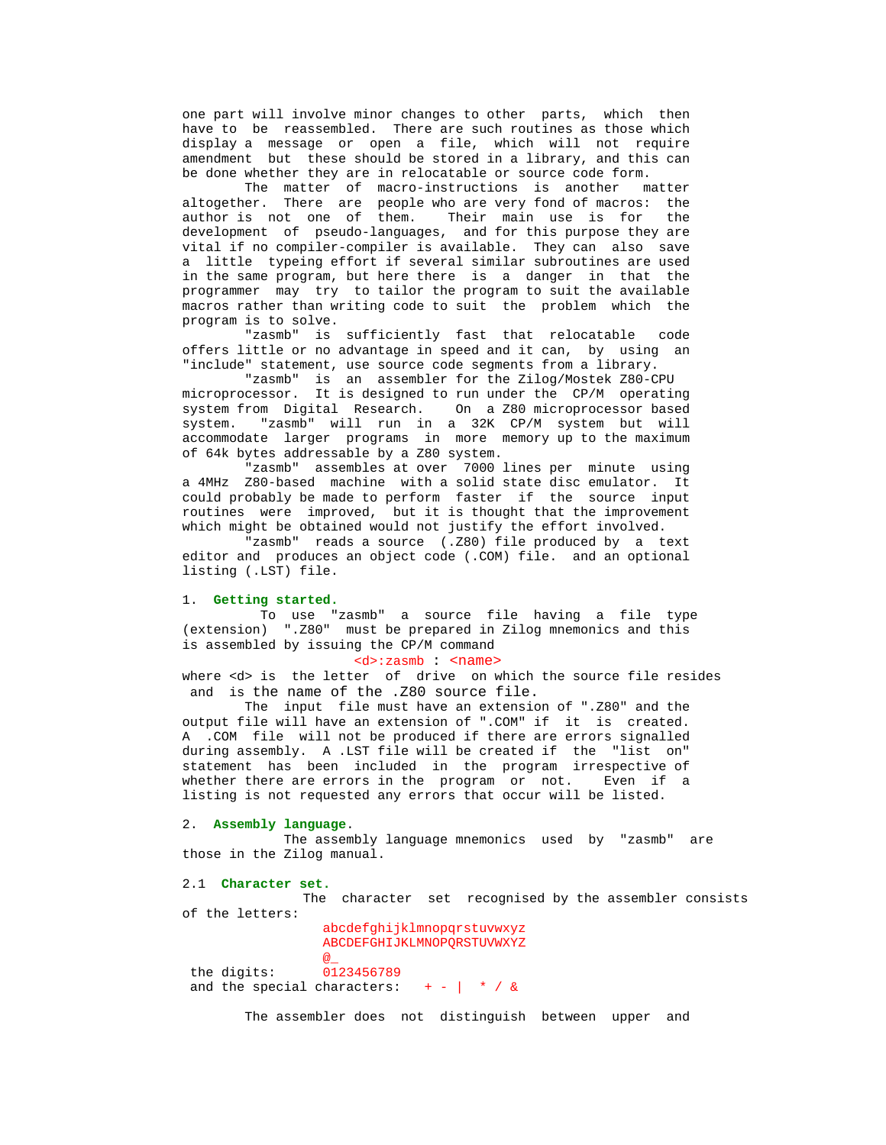one part will involve minor changes to other parts, which then have to be reassembled. There are such routines as those which display a message or open a file, which will not require amendment but these should be stored in a library, and this can be done whether they are in relocatable or source code form.

 The matter of macro-instructions is another matter altogether. There are people who are very fond of macros: the author is not one of them. Their main use is for the development of pseudo-languages, and for this purpose they are vital if no compiler-compiler is available. They can also save a little typeing effort if several similar subroutines are used in the same program, but here there is a danger in that the programmer may try to tailor the program to suit the available macros rather than writing code to suit the problem which the program is to solve.

 "zasmb" is sufficiently fast that relocatable code offers little or no advantage in speed and it can, by using an "include" statement, use source code segments from a library.

 "zasmb" is an assembler for the Zilog/Mostek Z80-CPU microprocessor. It is designed to run under the CP/M operating system from Digital Research. On a Z80 microprocessor based system. "zasmb" will run in a 32K CP/M system but will accommodate larger programs in more memory up to the maximum of 64k bytes addressable by a Z80 system.

 "zasmb" assembles at over 7000 lines per minute using a 4MHz Z80-based machine with a solid state disc emulator. It could probably be made to perform faster if the source input routines were improved, but it is thought that the improvement which might be obtained would not justify the effort involved.

 "zasmb" reads a source (.Z80) file produced by a text editor and produces an object code (.COM) file. and an optional listing (.LST) file.

#### 1. **Getting started.**

 To use "zasmb" a source file having a file type (extension) ".Z80" must be prepared in Zilog mnemonics and this is assembled by issuing the CP/M command

## <d>:zasmb : <name>

where <d> is the letter of drive on which the source file resides and is the name of the .Z80 source file.

 The input file must have an extension of ".Z80" and the output file will have an extension of ".COM" if it is created. A .COM file will not be produced if there are errors signalled during assembly. A .LST file will be created if the "list on" statement has been included in the program irrespective of whether there are errors in the program or not. Even if a listing is not requested any errors that occur will be listed.

## 2. **Assembly language**.

 The assembly language mnemonics used by "zasmb" are those in the Zilog manual.

 2.1 **Character set.** The character set recognised by the assembler consists of the letters: abcdefghijklmnopqrstuvwxyz ABCDEFGHIJKLMNOPQRSTUVWXYZ  $@<sub>-</sub>$ 0123456789 the digits: and the special characters:  $+ + /$  &

The assembler does not distinguish between upper and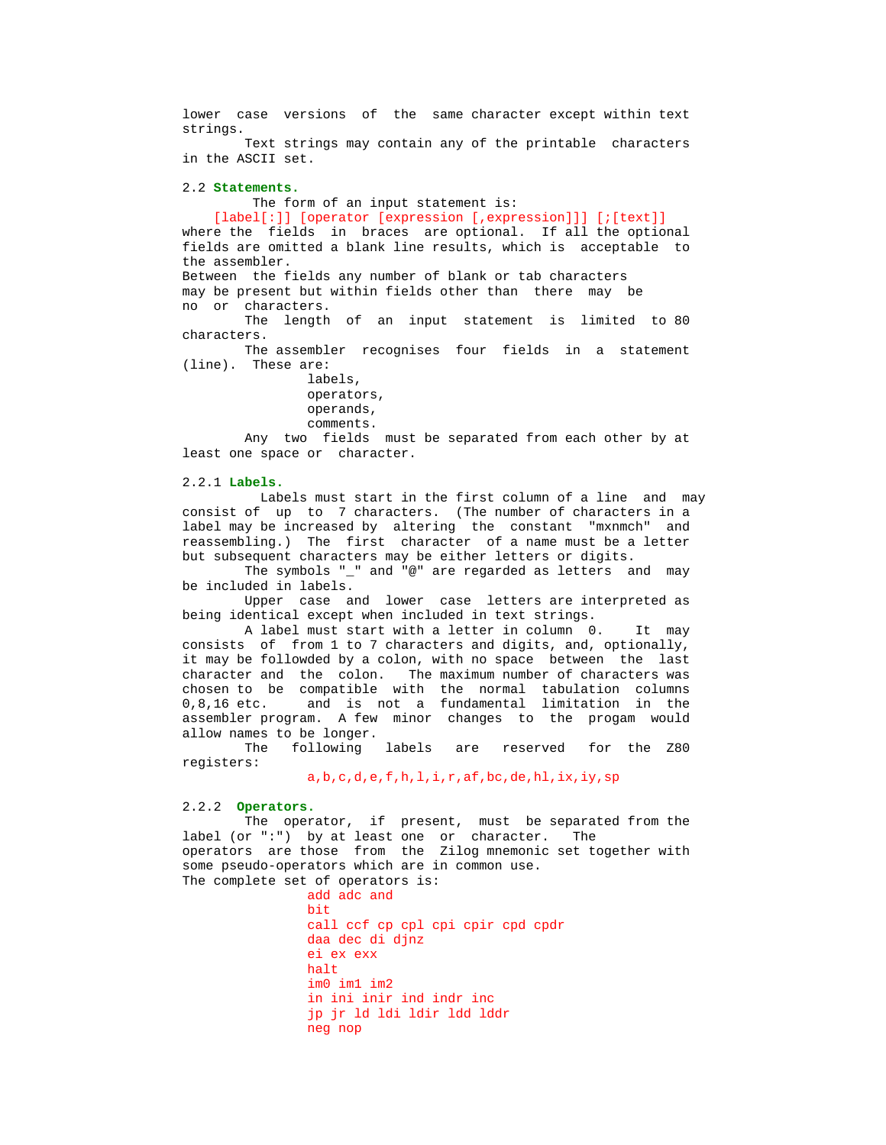lower case versions of the same character except within text strings.

 Text strings may contain any of the printable characters in the ASCII set.

## 2.2 **Statements.**

The form of an input statement is:

## [label[:]] [operator [expression [,expression]]] [;[text]]

 where the fields in braces are optional. If all the optional fields are omitted a blank line results, which is acceptable to the assembler. Between the fields any number of blank or tab characters

 may be present but within fields other than there may be no or characters.

 The length of an input statement is limited to 80 characters.

 The assembler recognises four fields in a statement (line). These are:

> labels, operators, operands, comments.

 Any two fields must be separated from each other by at least one space or character.

## 2.2.1 **Labels.**

 Labels must start in the first column of a line and may consist of up to 7 characters. (The number of characters in a label may be increased by altering the constant "mxnmch" and reassembling.) The first character of a name must be a letter but subsequent characters may be either letters or digits.

 The symbols "\_" and "@" are regarded as letters and may be included in labels.

 Upper case and lower case letters are interpreted as being identical except when included in text strings.

 A label must start with a letter in column 0. It may consists of from 1 to 7 characters and digits, and, optionally, it may be followded by a colon, with no space between the last character and the colon. The maximum number of characters was chosen to be compatible with the normal tabulation columns 0.8.16 etc. and is not a fundamental limitation in the and is not a fundamental limitation in the assembler program. A few minor changes to the progam would allow names to be longer.<br>The following labels

 The following labels are reserved for the Z80 registers:

a,b,c,d,e,f,h,l,i,r,af,bc,de,hl,ix,iy,sp

### 2.2.2 **Operators.**

 The operator, if present, must be separated from the label (or ":") by at least one or character. The operators are those from the Zilog mnemonic set together with some pseudo-operators which are in common use. The complete set of operators is:

 add adc and bit and the state of the bit bit and the state of the state of the state of the state of the state of the state call ccf cp cpl cpi cpir cpd cpdr daa dec di djnz ei ex exx halt im0 im1 im2 in ini inir ind indr inc jp jr ld ldi ldir ldd lddr neg nop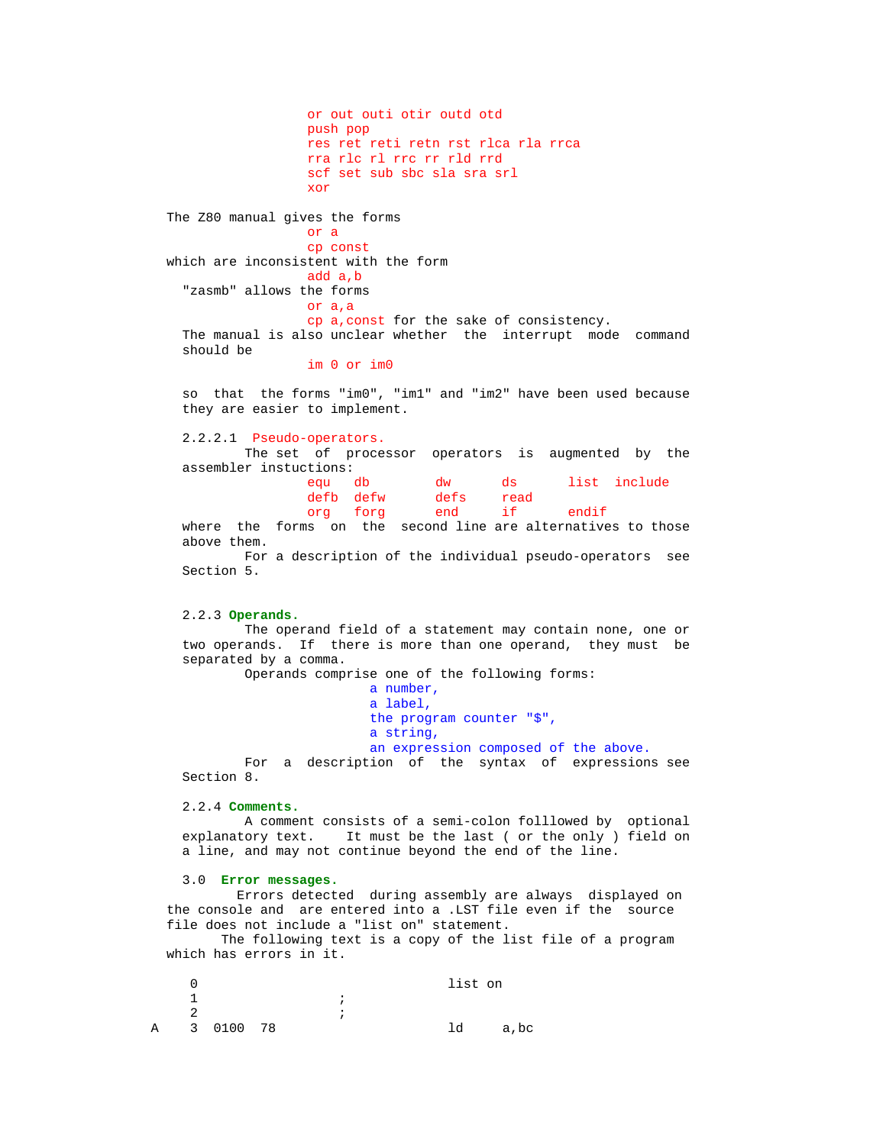or out outi otir outd otd push pop res ret reti retn rst rlca rla rrca rra rlc rl rrc rr rld rrd scf set sub sbc sla sra srl xor The  $280$  manual gives the forms<br>or a or a cp const which are inconsistent with the form add a,b "zasmb" allows the forms or a,a cp a,const for the sake of consistency. The manual is also unclear whether the interrupt mode command should be

im 0 or im0

 so that the forms "im0", "im1" and "im2" have been used because they are easier to implement.

2.2.2.1 Pseudo-operators.

 The set of processor operators is augmented by the assembler instuctions:<br>equ db

dw ds list include<br>defs read defb defw defs rea<br>org forg end if org forg end if endif

 where the forms on the second line are alternatives to those above them.

 For a description of the individual pseudo-operators see Section 5.

## 2.2.3 **Operands.**

 The operand field of a statement may contain none, one or two operands. If there is more than one operand, they must be separated by a comma.

 Operands comprise one of the following forms: a number, a label, the program counter "\$", a string, an expression composed of the above.

 For a description of the syntax of expressions see Section 8.

### 2.2.4 **Comments.**

 A comment consists of a semi-colon folllowed by optional explanatory text. It must be the last ( or the only ) field on a line, and may not continue beyond the end of the line.

## 3.0 **Error messages.**

 Errors detected during assembly are always displayed on the console and are entered into a .LST file even if the source file does not include a "list on" statement.

 The following text is a copy of the list file of a program which has errors in it.

|             |           |  |  | list on |      |
|-------------|-----------|--|--|---------|------|
|             |           |  |  |         |      |
|             |           |  |  |         |      |
| $\mathbb A$ | 3 0100 78 |  |  | ld      | a,bc |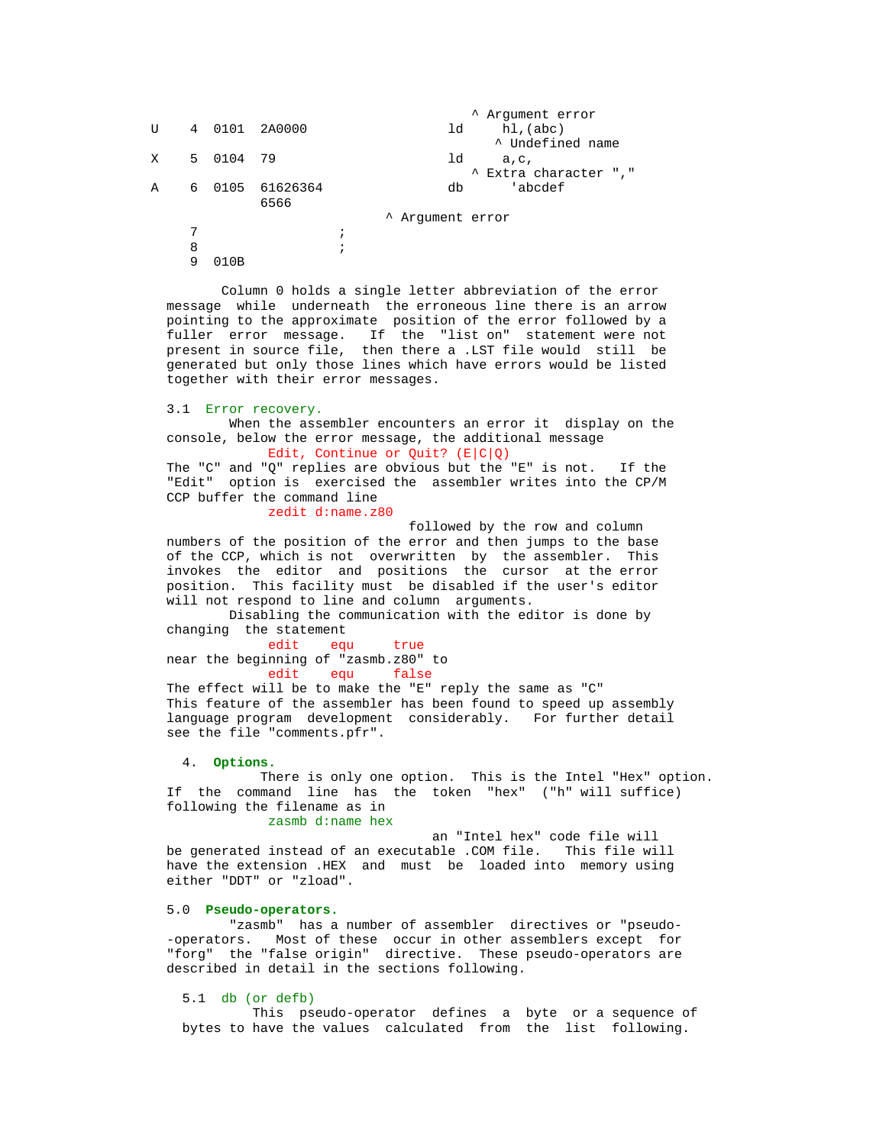```
V 4 0101 2A0000 <sup>A</sup> Argument error<br>
1d hl,(abc)
        4 0101 2A0000
    X 5 0104 79 and 1d a,c,<br>
\frac{1}{d} a,c,
        5 0104 79
    \uparrow Extra character ","<br>A 6 0105 61626364 \uparrow db 'abcdef
        6 0105 61626364
                6566
         ^ Argument error
\frac{7}{1} 8 ;
         9 010B
```
 Column 0 holds a single letter abbreviation of the error message while underneath the erroneous line there is an arrow pointing to the approximate position of the error followed by a fuller error message. If the "list on" statement were not present in source file, then there a .LST file would still be generated but only those lines which have errors would be listed together with their error messages.

```
 3.1 Error recovery.
```
 When the assembler encounters an error it display on the console, below the error message, the additional message

Edit, Continue or Quit?  $(E|C|Q)$  The "C" and "Q" replies are obvious but the "E" is not. If the "Edit" option is exercised the assembler writes into the CP/M CCP buffer the command line

zedit d:name.z80

 followed by the row and column numbers of the position of the error and then jumps to the base of the CCP, which is not overwritten by the assembler. This invokes the editor and positions the cursor at the error position. This facility must be disabled if the user's editor will not respond to line and column arguments.

 Disabling the communication with the editor is done by changing the statement

 edit equ true near the beginning of "zasmb.z80" to edit equ false

 The effect will be to make the "E" reply the same as "C" This feature of the assembler has been found to speed up assembly language program development considerably. For further detail see the file "comments.pfr".

4. **Options.**

 There is only one option. This is the Intel "Hex" option. If the command line has the token "hex" ("h" will suffice) following the filename as in

zasmb d:name hex

 an "Intel hex" code file will be generated instead of an executable .COM file. This file will have the extension .HEX and must be loaded into memory using either "DDT" or "zload".

#### 5.0 **Pseudo-operators.**

 "zasmb" has a number of assembler directives or "pseudo- -operators. Most of these occur in other assemblers except for "forg" the "false origin" directive. These pseudo-operators are described in detail in the sections following.

5.1 db (or defb)

 This pseudo-operator defines a byte or a sequence of bytes to have the values calculated from the list following.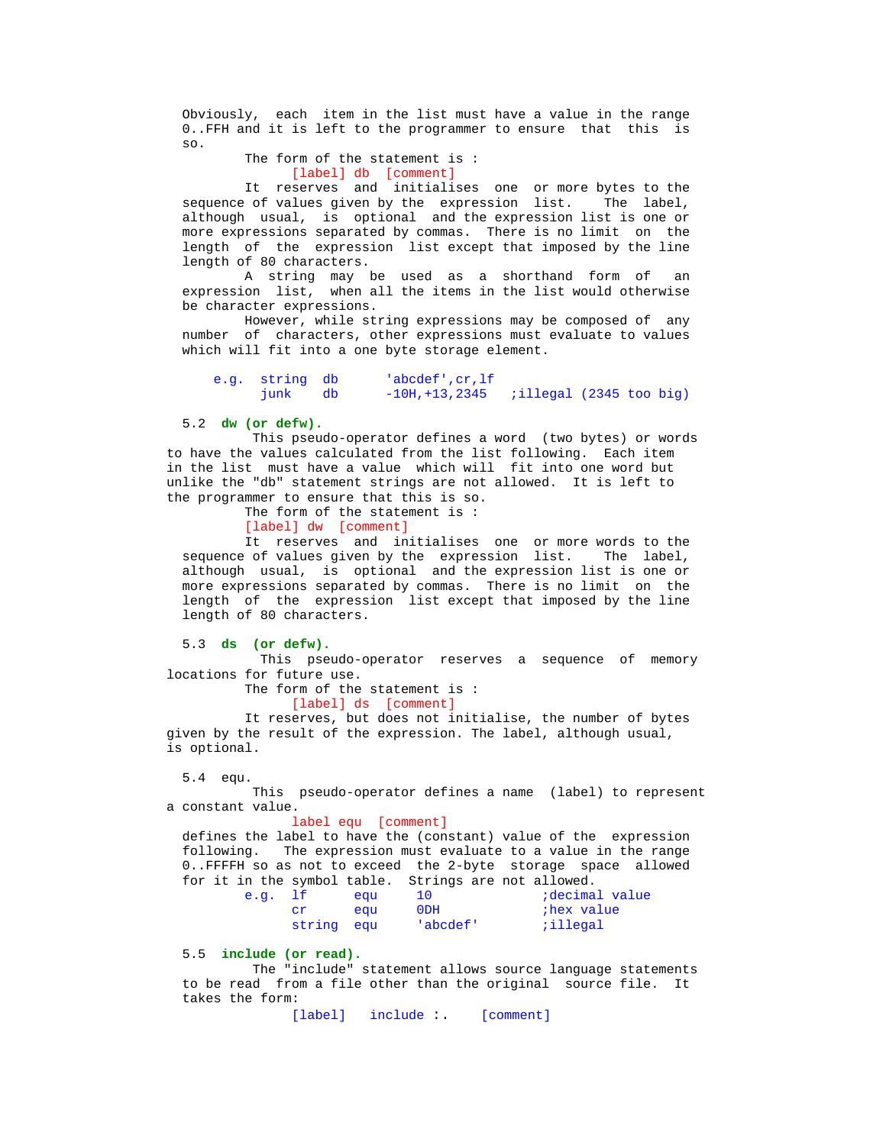Obviously, each item in the list must have a value in the range 0..FFH and it is left to the programmer to ensure that this is so.

```
 The form of the statement is :
       [label] db [comment]
```
It reserves and initialises one or more bytes to the of values given by the expression list. The label, sequence of values given by the expression list. although usual, is optional and the expression list is one or more expressions separated by commas. There is no limit on the length of the expression list except that imposed by the line length of 80 characters.

 A string may be used as a shorthand form of an expression list, when all the items in the list would otherwise be character expressions.

 However, while string expressions may be composed of any number of characters, other expressions must evaluate to values which will fit into a one byte storage element.

|  | e.g. string db | 'abcdef',cr,lf'                            |  |  |
|--|----------------|--------------------------------------------|--|--|
|  | junk db        | $-10H, +13, 2345$ ; illegal (2345 too big) |  |  |

## 5.2 **dw (or defw).**

 This pseudo-operator defines a word (two bytes) or words to have the values calculated from the list following. Each item in the list must have a value which will fit into one word but unlike the "db" statement strings are not allowed. It is left to the programmer to ensure that this is so.

The form of the statement is :

[label] dw [comment]

It reserves and initialises one or more words to the sequence of values given by the expression list. The label, although usual, is optional and the expression list is one or more expressions separated by commas. There is no limit on the length of the expression list except that imposed by the line length of 80 characters.

5.3 **ds (or defw).**

 This pseudo-operator reserves a sequence of memory locations for future use.

The form of the statement is :

[label] ds [comment]

 It reserves, but does not initialise, the number of bytes given by the result of the expression. The label, although usual, is optional.

5.4 equ.

 This pseudo-operator defines a name (label) to represent a constant value.

#### label equ [comment]

 defines the label to have the (constant) value of the expression following. The expression must evaluate to a value in the range 0..FFFFH so as not to exceed the 2-byte storage space allowed for it in the symbol table. Strings are not allowed.

| e.g. lf    | eau |                 | decimal value; |
|------------|-----|-----------------|----------------|
|            | eau | 0 <sub>DH</sub> | thex value     |
| string egu |     | 'abcdef !       | ;illegal;      |

5.5 **include (or read).**

 The "include" statement allows source language statements to be read from a file other than the original source file. It takes the form:

[label] include :. [comment]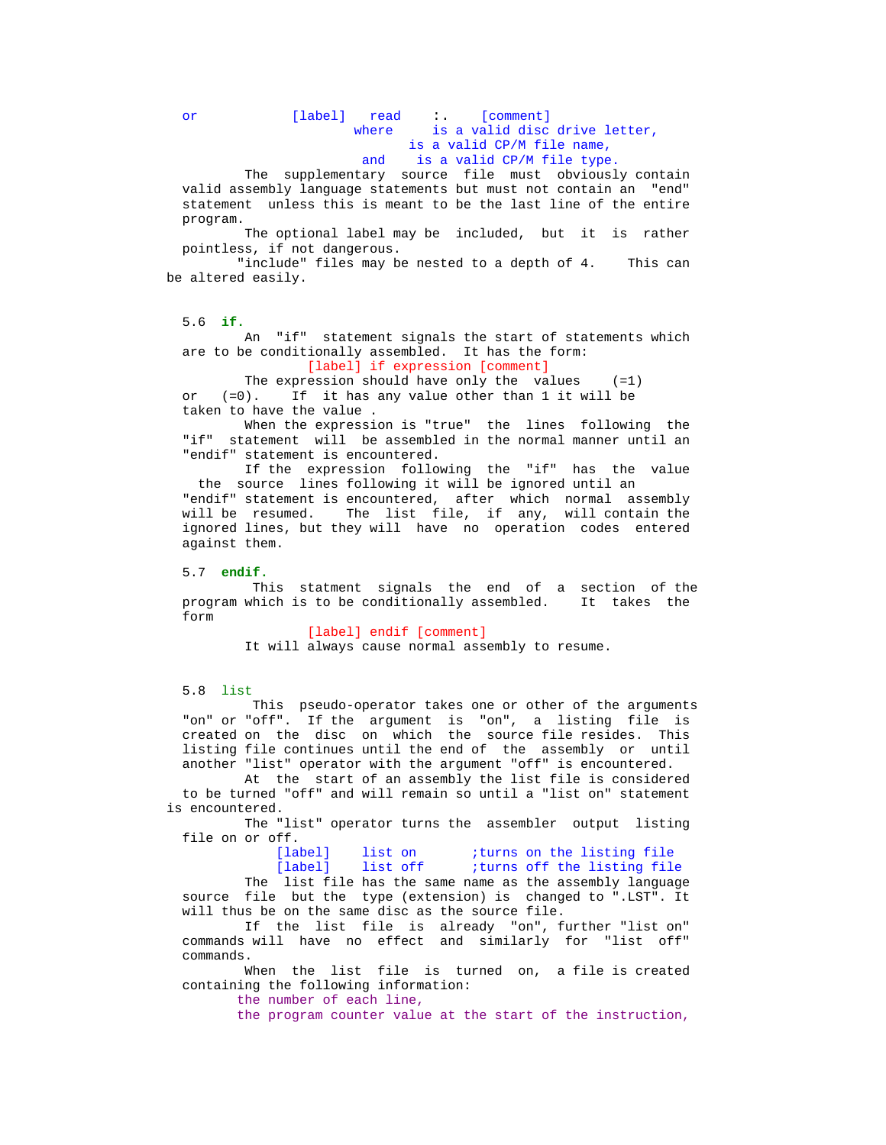## or [label] read : [comment] where is a valid disc drive letter, is a valid CP/M file name,<br>and is a valid CP/M file type is a valid CP/M file type.

The supplementary source file must obviously contain valid assembly language statements but must not contain an "end" statement unless this is meant to be the last line of the entire program.

 The optional label may be included, but it is rather pointless, if not dangerous.

"include" files may be nested to a depth of 4. This can be altered easily.

### 5.6 **if.**

 An "if" statement signals the start of statements which are to be conditionally assembled. It has the form: [label] if expression [comment]

The expression should have only the values (=1)<br>or (=0). If it has any value other than 1 it will be  $(=0)$ . If it has any value other than 1 it will be taken to have the value .

 When the expression is "true" the lines following the "if" statement will be assembled in the normal manner until an "endif" statement is encountered.

 If the expression following the "if" has the value the source lines following it will be ignored until an "endif" statement is encountered, after which normal assembly will be resumed. The list file, if any, will contain the ignored lines, but they will have no operation codes entered against them.

#### 5.7 **endif.**

 This statment signals the end of a section of the program which is to be conditionally assembled. It takes the form

> [label] endif [comment] It will always cause normal assembly to resume.

#### 5.8 list

 This pseudo-operator takes one or other of the arguments "on" or "off". If the argument is "on", a listing file is created on the disc on which the source file resides. This listing file continues until the end of the assembly or until another "list" operator with the argument "off" is encountered.

 At the start of an assembly the list file is considered to be turned "off" and will remain so until a "list on" statement is encountered.

 The "list" operator turns the assembler output listing file on or off.<br>[label]

## [label] list on *iturns* on the listing file<br>[label] list off *iturns* off the listing file iturns off the listing file

 The list file has the same name as the assembly language source file but the type (extension) is changed to ".LST". It will thus be on the same disc as the source file.

 If the list file is already "on", further "list on" commands will have no effect and similarly for "list off" commands.

 When the list file is turned on, a file is created containing the following information:

the number of each line,

the program counter value at the start of the instruction,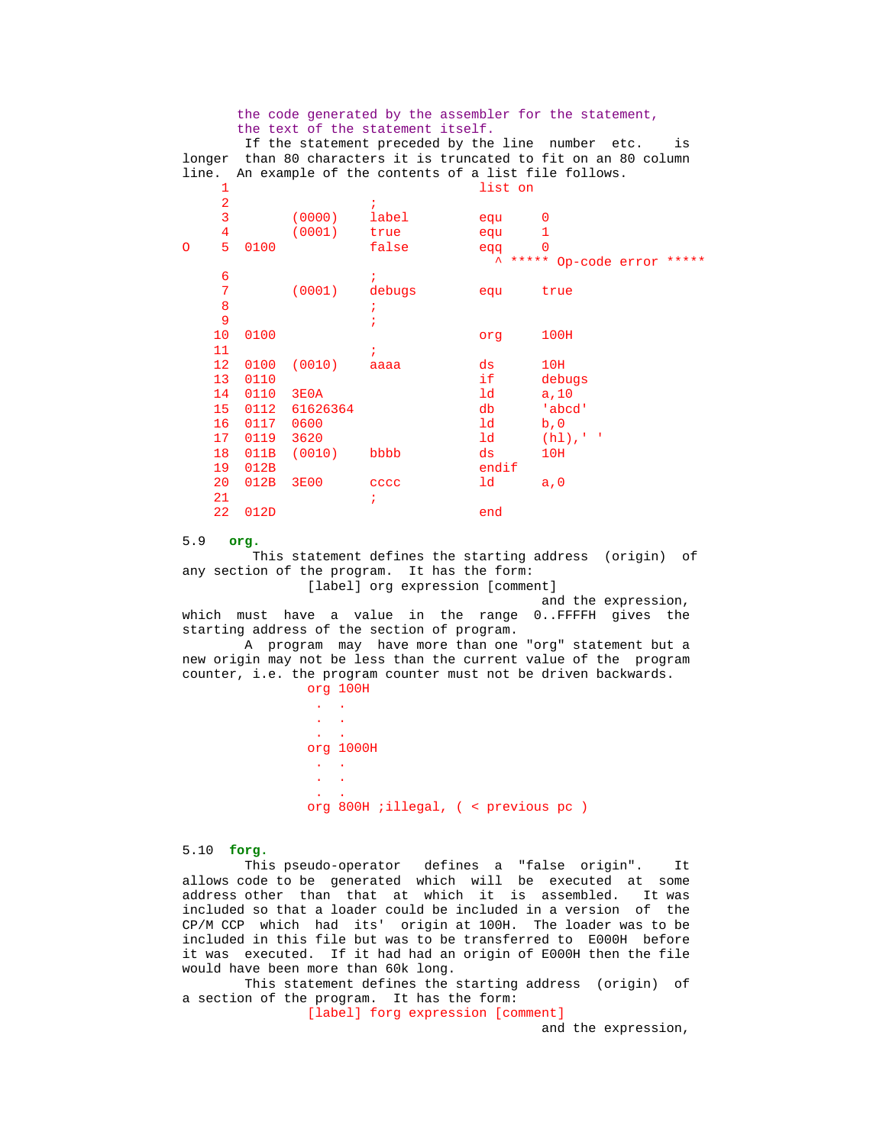the code generated by the assembler for the statement, the text of the statement itself. If the statement preceded by the line number etc. is longer than 80 characters it is truncated to fit on an 80 column line. An example of the contents of a list file follows. 1 list on  $2 \qquad \qquad i$  3 (0000) label equ 0 4 (0001) true equ 1 O 5 0100 false eqq 0  $\overline{\phantom{a}}$   $\overline{\phantom{a}}$   $\overline{\phantom{a}}$   $\overline{\phantom{a}}$   $\overline{\phantom{a}}$   $\overline{\phantom{a}}$   $\overline{\phantom{a}}$   $\overline{\phantom{a}}$   $\overline{\phantom{a}}$   $\overline{\phantom{a}}$   $\overline{\phantom{a}}$   $\overline{\phantom{a}}$   $\overline{\phantom{a}}$   $\overline{\phantom{a}}$   $\overline{\phantom{a}}$   $\overline{\phantom{a}}$   $\overline{\phantom{a}}$   $\overline{\phantom{a}}$   $\overline{\$  $\sim$  6  $\sim$  7 7 (0001) debugs equ true  $8$  is a set of  $\overline{\phantom{a}}$  is a set of  $\overline{\phantom{a}}$  is a set of  $\overline{\phantom{a}}$  is a set of  $\overline{\phantom{a}}$  is a set of  $\overline{\phantom{a}}$  is a set of  $\overline{\phantom{a}}$  is a set of  $\overline{\phantom{a}}$  is a set of  $\overline{\phantom{a}}$  is a set of  $\overline{\phantom{a}}$  i  $\overline{9}$  ; 10 0100 org 100H  $11$  ; 12 0100 (0010) aaaa ds 10H 13 0110 if debugs 14 0110 3E0A<br>15 0112 61626364 db 'abcd 15 0112 61626364 db 'abcd's db 'abcd's db 'abcd's ddb 'abcd's ddb 'abcd's ddb 'abcd's ddb 'abcd's dd 16 0117 0600 ld b,0<br>17 0119 3620 ld (h1),'' 17 0119 3620<br>18 011B (0010) bbbb ds 10H 18 011B (0010) bbbb ds<br>19 012B endif 19 012B end<br>20 012B 3E00 eccc 1d 20 012B 3E00 cccc ld a,0  $21$  ;

5.9 **org.**

22 012D end

 This statement defines the starting address (origin) of any section of the program. It has the form: [label] org expression [comment]

and the expression,

 which must have a value in the range 0..FFFFH gives the starting address of the section of program.

 A program may have more than one "org" statement but a new origin may not be less than the current value of the program counter, i.e. the program counter must not be driven backwards. org 100H

 . . . . . . org 1000H . .  $\ddot{\phantom{a}}$  $\ddot{\phantom{a}}$ org 800H ;illegal, ( < previous pc )

5.10 **forg.**

 This pseudo-operator defines a "false origin". It allows code to be generated which will be executed at some address other than that at which it is assembled. It was included so that a loader could be included in a version of the CP/M CCP which had its' origin at 100H. The loader was to be included in this file but was to be transferred to E000H before it was executed. If it had had an origin of E000H then the file would have been more than 60k long.

 This statement defines the starting address (origin) of a section of the program. It has the form:

[label] forg expression [comment]

and the expression,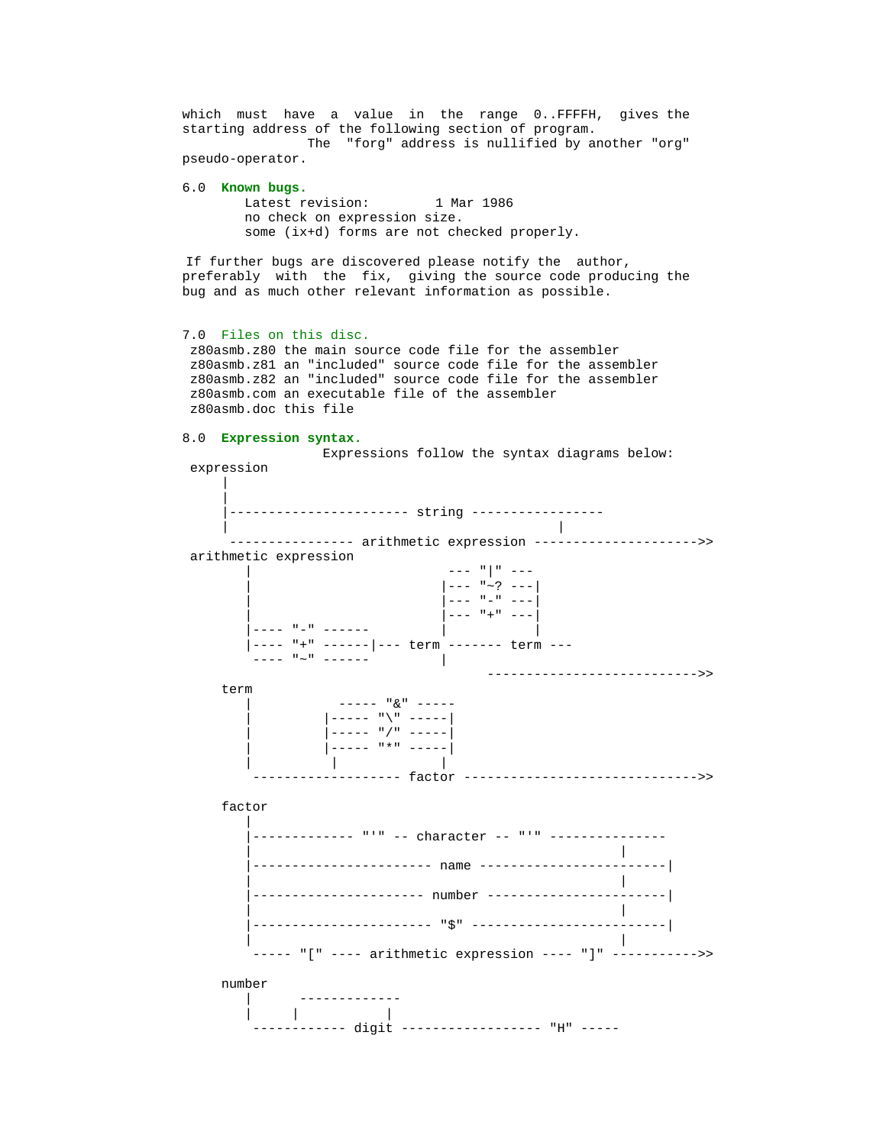which must have a value in the range 0..FFFFH, gives the starting address of the following section of program. The "forg" address is nullified by another "org" pseudo-operator.

```
 6.0 Known bugs.
        Latest revision: 1 Mar 1986
       no check on expression size.
        some (ix+d) forms are not checked properly.
```
 If further bugs are discovered please notify the author, preferably with the fix, giving the source code producing the bug and as much other relevant information as possible.

#### 7.0 Files on this disc.

 z80asmb.z80 the main source code file for the assembler z80asmb.z81 an "included" source code file for the assembler z80asmb.z82 an "included" source code file for the assembler z80asmb.com an executable file of the assembler z80asmb.doc this file

## 8.0 **Expression syntax.**

 Expressions follow the syntax diagrams below: expression | | ----------------------- string ----------------- | | -------------- arithmetic expression ---------------------->> arithmetic expression  $---$  " | "  $-- |-----$  "~? ---|  $\begin{vmatrix} - & - & \cdots & - & - \\ - & - & - & \cdots & - \end{vmatrix}$  $| - - -$  "+" --- |---- "-" ------ | | |---- "+" ------|--- term ------- term --- ---- "~" ------ | --------------------------->> term | ----- "&" -----  $|-----$  " $\vee$ " ----- $|$  -----  $"$  /" ----- | |----- "\*" -----| | | | ------------- factor -------------------------------->> factor | |------------- "'" -- character -- "'" --------------- | | |----------------------- name ------------------------| | | |---------------------- number -----------------------| | | |----------------------- "\$" -------------------------| | | ----- "[" ---- arithmetic expression ---- "]" ----------->> number | ------------- | | | ------------ digit ------------------ "H" -----